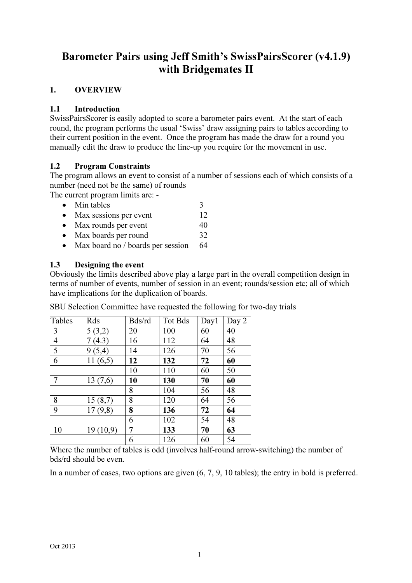# Barometer Pairs using Jeff Smith's SwissPairsScorer (v4.1.9) with Bridgemates II

# 1. OVERVIEW

#### 1.1 Introduction

SwissPairsScorer is easily adopted to score a barometer pairs event. At the start of each round, the program performs the usual 'Swiss' draw assigning pairs to tables according to their current position in the event. Once the program has made the draw for a round you manually edit the draw to produce the line-up you require for the movement in use.

#### 1.2 Program Constraints

The program allows an event to consist of a number of sessions each of which consists of a number (need not be the same) of rounds

The current program limits are: -

- Min tables  $\frac{3}{2}$
- Max sessions per event 12
- Max rounds per event 40
- Max boards per round 32
- Max board no / boards per session 64

#### 1.3 Designing the event

Obviously the limits described above play a large part in the overall competition design in terms of number of events, number of session in an event; rounds/session etc; all of which have implications for the duplication of boards.

SBU Selection Committee have requested the following for two-day trials

| Tables         | Rds             | Bds/rd | Tot Bds | Day1 | Day 2 |
|----------------|-----------------|--------|---------|------|-------|
| 3              | 5(3,2)          | 20     | 100     | 60   | 40    |
| $\overline{4}$ | (4.3)<br>$\tau$ | 16     | 112     | 64   | 48    |
| 5              | 9(5,4)          | 14     | 126     | 70   | 56    |
| 6              | 11(6,5)         | 12     | 132     | 72   | 60    |
|                |                 | 10     | 110     | 60   | 50    |
| 7              | 13(7,6)         | 10     | 130     | 70   | 60    |
|                |                 | 8      | 104     | 56   | 48    |
| 8              | 15(8,7)         | 8      | 120     | 64   | 56    |
| 9              | 17(9,8)         | 8      | 136     | 72   | 64    |
|                |                 | 6      | 102     | 54   | 48    |
| 10             | 19(10,9)        | 7      | 133     | 70   | 63    |
|                |                 | 6      | 126     | 60   | 54    |

Where the number of tables is odd (involves half-round arrow-switching) the number of bds/rd should be even.

In a number of cases, two options are given (6, 7, 9, 10 tables); the entry in bold is preferred.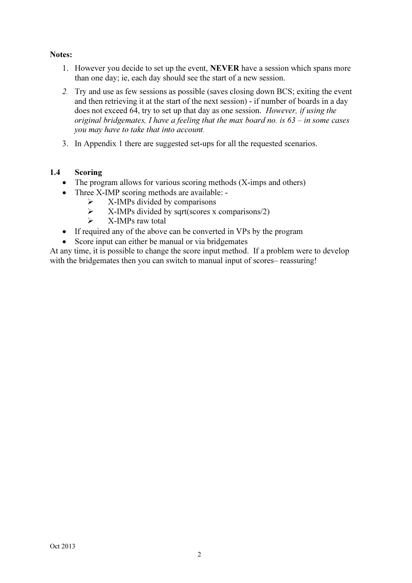#### Notes:

- 1. However you decide to set up the event, NEVER have a session which spans more than one day; ie, each day should see the start of a new session.
- 2. Try and use as few sessions as possible (saves closing down BCS; exiting the event and then retrieving it at the start of the next session) - if number of boards in a day does not exceed 64, try to set up that day as one session. However, if using the original bridgemates, I have a feeling that the max board no. is  $63 - in$  some cases you may have to take that into account.
- 3. In Appendix 1 there are suggested set-ups for all the requested scenarios.

#### 1.4 Scoring

- The program allows for various scoring methods (X-imps and others)
- Three X-IMP scoring methods are available:
	- $\triangleright$  X-IMPs divided by comparisons<br> $\triangleright$  X-IMPs divided by sart(scores x
	- X-IMPs divided by sqrt(scores x comparisons/2)
	- $\triangleright$  X-IMPs raw total
- If required any of the above can be converted in VPs by the program
- Score input can either be manual or via bridgemates

At any time, it is possible to change the score input method. If a problem were to develop with the bridgemates then you can switch to manual input of scores– reassuring!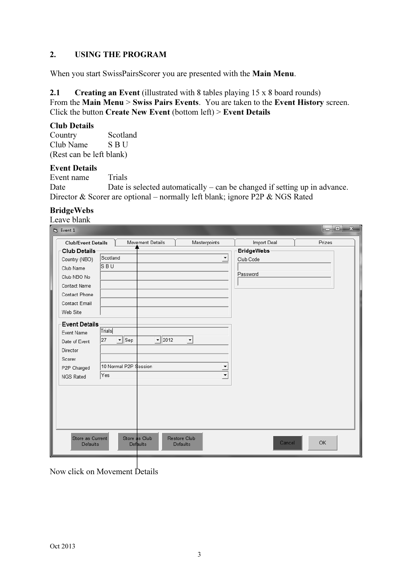# 2. USING THE PROGRAM

When you start SwissPairsScorer you are presented with the Main Menu.

2.1 Creating an Event (illustrated with 8 tables playing 15 x 8 board rounds)

From the Main Menu > Swiss Pairs Events. You are taken to the Event History screen. Click the button Create New Event (bottom left) > Event Details

#### Club Details

Country Scotland Club Name S B U (Rest can be left blank)

#### Event Details

Event name Trials Date Date is selected automatically – can be changed if setting up in advance. Director & Scorer are optional – normally left blank; ignore P2P & NGS Rated

# BridgeWebs

| Prizes<br><b>Club/Event Details</b><br>Movement Details<br>Masterpoints<br><b>BridgeWebs</b><br>Scotland<br>$\blacktriangledown$<br>Club Code<br>ls b u<br>Password<br>Trials<br>$\boxed{\blacksquare}$ Sep<br>$- 2012$<br>27<br>$\vert \mathbf{v} \vert$<br>10 Normal P2P Session<br>$\overline{\phantom{0}}$<br>$\overline{\mathbf{v}}$<br>Yes | $\mathbb{S}$ . Event 1 |  |                    |           |
|--------------------------------------------------------------------------------------------------------------------------------------------------------------------------------------------------------------------------------------------------------------------------------------------------------------------------------------------------|------------------------|--|--------------------|-----------|
|                                                                                                                                                                                                                                                                                                                                                  |                        |  | <b>Import Deal</b> |           |
| Country (NBO)<br>Club Name<br>Club NBO No<br>Contact Name<br>Contact Phone<br><b>Contact Email</b><br>Web Site<br><b>Event Details</b><br>Event Name<br>Date of Event<br>Director<br>Scorer<br>P2P Charged<br>NGS Rated                                                                                                                          | <b>Club Details</b>    |  |                    |           |
|                                                                                                                                                                                                                                                                                                                                                  |                        |  |                    |           |
|                                                                                                                                                                                                                                                                                                                                                  |                        |  |                    |           |
|                                                                                                                                                                                                                                                                                                                                                  |                        |  |                    |           |
|                                                                                                                                                                                                                                                                                                                                                  |                        |  |                    |           |
|                                                                                                                                                                                                                                                                                                                                                  |                        |  |                    |           |
|                                                                                                                                                                                                                                                                                                                                                  |                        |  |                    |           |
|                                                                                                                                                                                                                                                                                                                                                  |                        |  |                    |           |
|                                                                                                                                                                                                                                                                                                                                                  |                        |  |                    |           |
|                                                                                                                                                                                                                                                                                                                                                  |                        |  |                    |           |
|                                                                                                                                                                                                                                                                                                                                                  |                        |  |                    |           |
|                                                                                                                                                                                                                                                                                                                                                  |                        |  |                    |           |
|                                                                                                                                                                                                                                                                                                                                                  |                        |  |                    |           |
|                                                                                                                                                                                                                                                                                                                                                  |                        |  |                    |           |
|                                                                                                                                                                                                                                                                                                                                                  |                        |  |                    |           |
|                                                                                                                                                                                                                                                                                                                                                  |                        |  |                    |           |
|                                                                                                                                                                                                                                                                                                                                                  |                        |  |                    |           |
|                                                                                                                                                                                                                                                                                                                                                  |                        |  |                    |           |
|                                                                                                                                                                                                                                                                                                                                                  |                        |  |                    |           |
|                                                                                                                                                                                                                                                                                                                                                  |                        |  |                    |           |
|                                                                                                                                                                                                                                                                                                                                                  |                        |  |                    |           |
|                                                                                                                                                                                                                                                                                                                                                  |                        |  | Cancel             | <b>OK</b> |
| Store as Current<br>Store as Club<br>Restore Club<br><b>Defaults</b><br>Defaults<br>Defaults                                                                                                                                                                                                                                                     |                        |  |                    |           |

Now click on Movement Details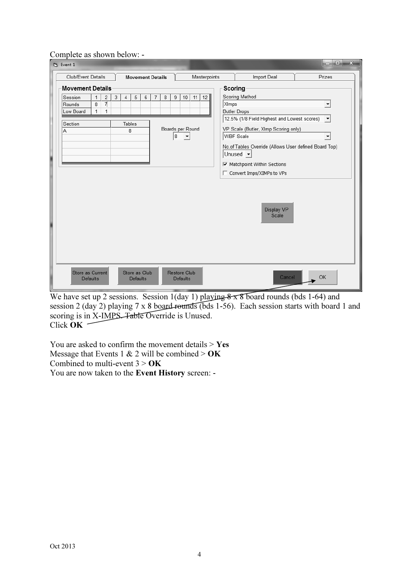#### Complete as shown below: -

| <b>B</b> Event 1                               |                                                                 |   |                  |                                  |   |   |   |        |                                        |                        |              |         |                                                                                                                                                                                                                                                             |        |
|------------------------------------------------|-----------------------------------------------------------------|---|------------------|----------------------------------|---|---|---|--------|----------------------------------------|------------------------|--------------|---------|-------------------------------------------------------------------------------------------------------------------------------------------------------------------------------------------------------------------------------------------------------------|--------|
| Club/Event Details                             |                                                                 |   |                  | <b>Movement Details</b>          |   |   |   |        |                                        |                        | Masterpoints |         | Import Deal                                                                                                                                                                                                                                                 | Prizes |
| <b>Movement Details</b>                        |                                                                 |   |                  |                                  |   |   |   |        |                                        |                        |              | Scoring |                                                                                                                                                                                                                                                             |        |
| Session<br>Rounds<br>Low Board<br>Section<br>Α | $\overline{2}$<br>1<br>$\overline{7}$<br>8<br>$\mathbf{1}$<br>1 | 3 | 4<br>Tables<br>8 | 5                                | 6 | 7 | 8 | 9<br>8 | 10                                     | 11<br>Boards per Round | 12           | XImps   | Scoring Method<br><b>Butler Drops</b><br>12.5% (1/8 Field Highest and Lowest scores) $\mathbf{v}$<br>VP Scale (Butler, XImp Scoring only)<br>WBF Scale<br>No.of Tables Override (Allows User defined Board Top)<br>Unused -<br>☑ Matchpoint Within Sections |        |
|                                                |                                                                 |   |                  |                                  |   |   |   |        |                                        |                        |              |         | □ Convert Imps/XIMPs to VPs<br>Display VP<br>Scale                                                                                                                                                                                                          |        |
| Store as Current<br><b>Defaults</b>            |                                                                 |   |                  | Store as Club<br><b>Defaults</b> |   |   |   |        | <b>Restore Club</b><br><b>Defaults</b> |                        |              |         | Cancel                                                                                                                                                                                                                                                      | OK     |

We have set up 2 sessions. Session 1(day 1) playing  $8 \times 8$  board rounds (bds 1-64) and session 2 (day 2) playing 7 x 8 board rounds (bds 1-56). Each session starts with board 1 and scoring is in X-IMPS. Table Override is Unused. Click  $\overline{OK}$  –

You are asked to confirm the movement details  $>$  Yes Message that Events 1 & 2 will be combined >  $\overrightarrow{OK}$ Combined to multi-event  $3 > OK$ You are now taken to the Event History screen: -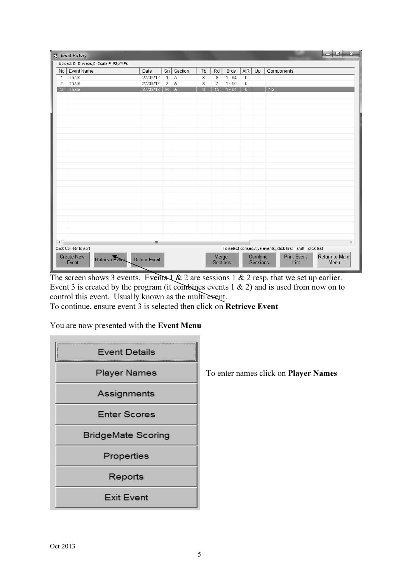|                      | Ey Event History                      |              |        |         |    |                          |             |             |                     | $\mathbf x$<br>$\Box$ e                                        |
|----------------------|---------------------------------------|--------------|--------|---------|----|--------------------------|-------------|-------------|---------------------|----------------------------------------------------------------|
|                      | Upload: B=Brwebs,E=Ecats,P=P2p/MPs    |              |        |         |    |                          |             |             |                     |                                                                |
|                      | No   Event Name                       | Date         | $\sin$ | Section | Tb | Rd                       | <b>Brds</b> | AtR         | Upl                 | Components                                                     |
| 1                    | Trials                                | 27/09/12     | 1      | A       | 8  | 8                        | $1 - 64$    | $\mathbf 0$ |                     |                                                                |
| 2                    | Trials                                | 27/09/12     | 2      | A       | 8  | 7                        | $1 - 56$    | 0           |                     |                                                                |
| $\overline{3}$       | Trials                                | 27/09/12     | M.     |         | 8  | 15                       | $-64$       | $\Omega$    |                     | 12                                                             |
|                      |                                       |              |        |         |    |                          |             |             |                     |                                                                |
|                      |                                       |              |        |         |    |                          |             |             |                     |                                                                |
|                      |                                       |              |        |         |    |                          |             |             |                     |                                                                |
|                      |                                       |              |        |         |    |                          |             |             |                     |                                                                |
|                      |                                       |              |        |         |    |                          |             |             |                     |                                                                |
|                      |                                       |              |        |         |    |                          |             |             |                     |                                                                |
|                      |                                       |              |        |         |    |                          |             |             |                     |                                                                |
|                      |                                       |              |        |         |    |                          |             |             |                     |                                                                |
|                      |                                       |              |        |         |    |                          |             |             |                     |                                                                |
|                      |                                       |              |        |         |    |                          |             |             |                     |                                                                |
|                      |                                       |              |        |         |    |                          |             |             |                     |                                                                |
|                      |                                       |              |        |         |    |                          |             |             |                     |                                                                |
|                      |                                       |              |        |         |    |                          |             |             |                     |                                                                |
|                      |                                       |              |        |         |    |                          |             |             |                     |                                                                |
|                      |                                       |              |        |         |    |                          |             |             |                     |                                                                |
|                      |                                       |              |        |         |    |                          |             |             |                     |                                                                |
|                      |                                       |              |        |         |    |                          |             |             |                     |                                                                |
|                      |                                       |              |        |         |    |                          |             |             |                     |                                                                |
|                      |                                       |              |        |         |    |                          |             |             |                     |                                                                |
|                      |                                       |              |        |         |    |                          |             |             |                     |                                                                |
|                      |                                       |              |        |         |    |                          |             |             |                     |                                                                |
|                      |                                       |              |        |         |    |                          |             |             |                     |                                                                |
| $\blacktriangleleft$ |                                       | $\mathbf{H}$ |        |         |    |                          |             |             |                     | $\blacktriangleright$                                          |
|                      | Click Col Hdr to sort                 |              |        |         |    |                          |             |             |                     | To select consecutive events, click first - shift - click last |
|                      | Create New<br>Retrieve Event<br>Event | Delete Event |        |         |    | Merge<br><b>Sections</b> |             |             | Combine<br>Sessions | <b>Print Event</b><br>Return to Main<br>List<br>Menu           |

The screen shows 3 events. Events  $\&$  2 are sessions 1  $\&$  2 resp. that we set up earlier. Event 3 is created by the program (it combines events  $1 \& 2$ ) and is used from now on to control this event. Usually known as the multi event.

To continue, ensure event 3 is selected then click on Retrieve Event

You are now presented with the Event Menu

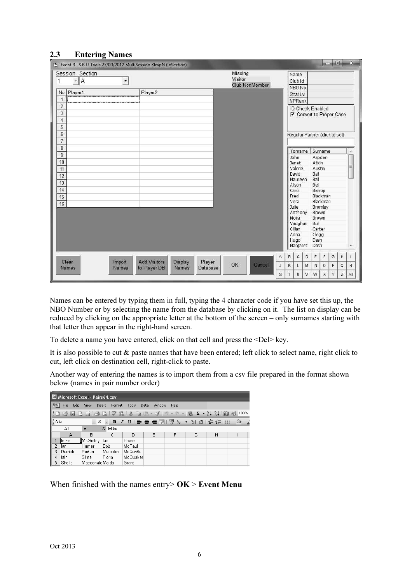#### 2.3 Entering Names

| Ey Event 3 S B U Trials 27/09/2012 MultiSession XImpN (InSection) |                                                         |                                         |                                                            |                |   |   |         |
|-------------------------------------------------------------------|---------------------------------------------------------|-----------------------------------------|------------------------------------------------------------|----------------|---|---|---------|
| Session Section<br>$\mathbb{R}$ $\mathbb{R}$<br>1                 | ۰.                                                      | Missing<br>Visitor<br>Club NonMember    | Name<br>Club Id                                            |                |   |   |         |
| No Player1                                                        | Player2                                                 |                                         | NBO No<br>Strat Lvl                                        |                |   |   |         |
| $\mathbf{1}$                                                      |                                                         |                                         | MPRank                                                     |                |   |   |         |
| $\overline{2}$<br>$\overline{3}$<br>$\overline{4}$                |                                                         |                                         | <b>ID Check Enabled</b><br><b>▽</b> Convert to Proper Case |                |   |   |         |
| 5<br>$6\phantom{.}$<br>$\overline{7}$                             |                                                         |                                         | Regular Partner (click to set)                             |                |   |   |         |
| $\overline{8}$                                                    |                                                         |                                         | Forname                                                    | Surname        |   |   | ×.      |
| 9                                                                 |                                                         |                                         | John                                                       | Aspden         |   |   |         |
| 10                                                                |                                                         |                                         | Janet.                                                     | Atkin          |   |   | Ξ       |
| 11                                                                |                                                         |                                         | Valerie<br>David                                           | Austin<br>Ball |   |   |         |
| 12                                                                |                                                         |                                         | Maureen                                                    | Ball           |   |   |         |
| 13                                                                |                                                         |                                         | Alison                                                     | Bell           |   |   |         |
| 14                                                                |                                                         |                                         | Carol                                                      | Bishop         |   |   |         |
| 15                                                                |                                                         |                                         | Fred                                                       | Blackman       |   |   |         |
| 16                                                                |                                                         |                                         | Vera                                                       | Blackman       |   |   |         |
|                                                                   |                                                         |                                         | Julie                                                      | Bromley        |   |   |         |
|                                                                   |                                                         |                                         | Anthony<br>Moira                                           | Brown<br>Brown |   |   |         |
|                                                                   |                                                         |                                         | Vaughan                                                    | Bull           |   |   |         |
|                                                                   |                                                         |                                         | Gillian                                                    | Carter         |   |   |         |
|                                                                   |                                                         |                                         | Anna                                                       | Clegg          |   |   |         |
|                                                                   |                                                         |                                         | Hugo                                                       | Dash           |   |   |         |
|                                                                   |                                                         |                                         | Margaret                                                   | Dash           |   |   | $\star$ |
|                                                                   |                                                         | А                                       | $\mathsf{C}$<br>D<br>B                                     | Ε<br>F         | G | H |         |
| Import<br>Clear<br><b>Names</b><br>Names                          | <b>Add Visitors</b><br>Display<br>to Player DB<br>Names | Player<br>OK<br>Cancel<br>J<br>Database | κ<br>L<br>$\mathbb M$                                      | N<br>$\circ$   | P | Q | R       |
|                                                                   |                                                         | s                                       | T<br>$\cup$<br>V                                           | W<br>X         | Ÿ | Z | All     |

Names can be entered by typing them in full, typing the 4 character code if you have set this up, the NBO Number or by selecting the name from the database by clicking on it. The list on display can be reduced by clicking on the appropriate letter at the bottom of the screen – only surnames starting with that letter then appear in the right-hand screen.

To delete a name you have entered, click on that cell and press the <Del> key.

It is also possible to cut & paste names that have been entered; left click to select name, right click to cut, left click on destination cell, right-click to paste.

Another way of entering the names is to import them from a csv file prepared in the format shown below (names in pair number order)

| Microsoft Excel - Pairs64.csv                                                                  |              |                   |                  |          |                |      |   |   |  |  |
|------------------------------------------------------------------------------------------------|--------------|-------------------|------------------|----------|----------------|------|---|---|--|--|
| ∃≊1                                                                                            | File<br>Edit | View              | Insert<br>Format | Tools    | Data<br>Window | Help |   |   |  |  |
| 100%                                                                                           |              |                   |                  |          |                |      |   |   |  |  |
| : Arial<br>▼   B / U     三 三 三 車             % , 18 - 38   ま ま         → ◇ → <u>/</u><br>$-10$ |              |                   |                  |          |                |      |   |   |  |  |
|                                                                                                | A1           |                   | fx Mike          |          |                |      |   |   |  |  |
|                                                                                                | А            | R.                | C                | D        | F              | F    | G | H |  |  |
|                                                                                                | Mike         | <b>I</b> McGinley | lan              | Howie    |                |      |   |   |  |  |
| 2                                                                                              | lan.         | Hunter            | <b>Bob</b>       | McPaul   |                |      |   |   |  |  |
| 3                                                                                              | Derrick      | Peden             | Malcolm          | McCardle |                |      |   |   |  |  |
| 4                                                                                              | lain         | Sime              | Fiona            | McQuaker |                |      |   |   |  |  |
| 5                                                                                              | Sheila       | Macdonald Maida   |                  | Grant    |                |      |   |   |  |  |
|                                                                                                |              |                   |                  |          |                |      |   |   |  |  |

When finished with the names entry  $\mathbf{O}\mathbf{K}$  > Event Menu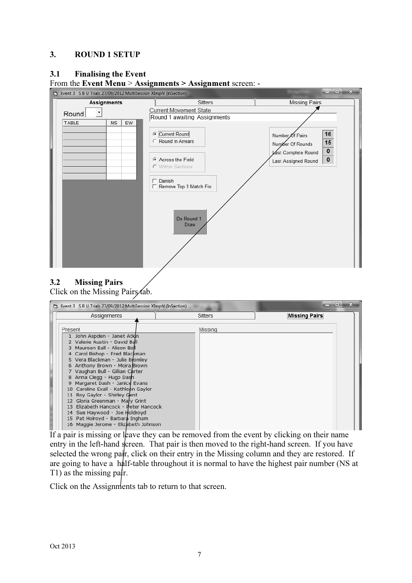#### 3. ROUND 1 SETUP

#### 3.1 Finalising the Event



# From the Event Menu > Assignments > Assignment screen: -

3.2 Missing Pairs Click on the Missing Pairs tab.

| [3]. Event 3 S B U Trials 27/09/2012 MultiSession XImpN (InSection)                                                                                                                                                                                                                                                                                                                                                                                                                                                                                                          |                | $\overline{\mathbf{x}}$<br>والم |
|------------------------------------------------------------------------------------------------------------------------------------------------------------------------------------------------------------------------------------------------------------------------------------------------------------------------------------------------------------------------------------------------------------------------------------------------------------------------------------------------------------------------------------------------------------------------------|----------------|---------------------------------|
| Assignments                                                                                                                                                                                                                                                                                                                                                                                                                                                                                                                                                                  | <b>Sitters</b> | <b>Missing Pairs</b>            |
| Present<br>1 John Aspden - Janet Atkin<br>2 Valerie Austin - David Ball<br>3 Maureen Ball - Alison Bell<br>4 Carol Bishop - Fred Blackman<br>5 Vera Blackman - Julie Bromley<br>6 Anthony Brown - Moira Brown<br>7 Vaughan Bull - Gillian Carter<br>8 Anna Clegg - Hugo Dash<br>9 Margaret Dash - Janice Evans<br>10 Caroline Exall - Kathleen Gaylor<br>11 Roy Gaylor - Shirley Gent<br>12 Gloria Greenman - Mary Grint<br>13 Elizabeth Hancock - Peter Hancock<br>14 Sue Haywood - Joe Holdroyd<br>15 Pat Holroyd - Barbara Ingham<br>16 Maggie Jerome - Elizabeth Johnson | Missing        |                                 |

If a pair is missing or leave they can be removed from the event by clicking on their name entry in the left-hand screen. That pair is then moved to the right-hand screen. If you have selected the wrong pair, click on their entry in the Missing column and they are restored. If are going to have a half-table throughout it is normal to have the highest pair number (NS at T1) as the missing pair.

Click on the Assignments tab to return to that screen.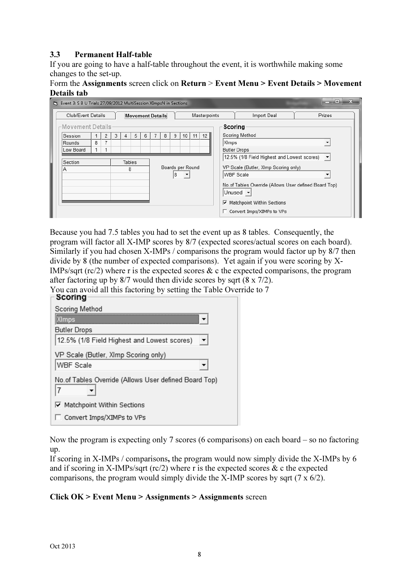#### 3.3 Permanent Half-table

If you are going to have a half-table throughout the event, it is worthwhile making some changes to the set-up.

#### Form the Assignments screen click on Return > Event Menu > Event Details > Movement Details tab



Because you had 7.5 tables you had to set the event up as 8 tables. Consequently, the program will factor all X-IMP scores by 8/7 (expected scores/actual scores on each board). Similarly if you had chosen X-IMPs / comparisons the program would factor up by 8/7 then divide by 8 (the number of expected comparisons). Yet again if you were scoring by X-IMPs/sqrt ( $\text{rc}/2$ ) where r is the expected scores & c the expected comparisons, the program after factoring up by 8/7 would then divide scores by sqrt (8 x 7/2).

You can avoid all this factoring by setting the Table Override to 7

| งษยาเพ                                                |
|-------------------------------------------------------|
| Scoring Method                                        |
| (Imps                                                 |
| <b>Butler Drops</b>                                   |
| 12.5% (1/8 Field Highest and Lowest scores)           |
| VP Scale (Butler, XImp Scoring only)                  |
| <b>WBF</b> Scale                                      |
| No.of Tables Override (Allows User defined Board Top) |
| <b>▽</b> Matchpoint Within Sections                   |
| Convert Imps/XIMPs to VPs                             |

Now the program is expecting only 7 scores (6 comparisons) on each board – so no factoring up.

If scoring in X-IMPs / comparisons, the program would now simply divide the X-IMPs by 6 and if scoring in X-IMPs/sqrt ( $\text{rc}/2$ ) where r is the expected scores & c the expected comparisons, the program would simply divide the X-IMP scores by sqrt (7 x 6/2).

#### Click OK > Event Menu > Assignments > Assignments screen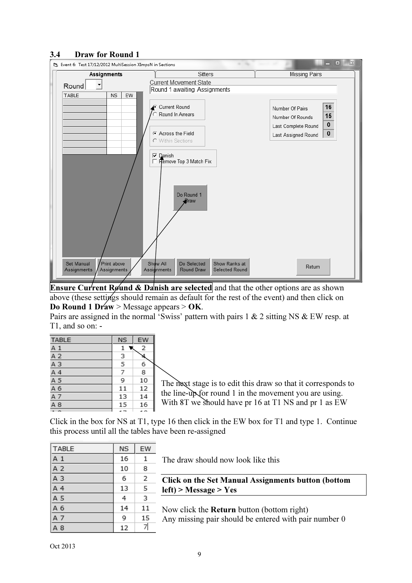#### 3.4 Draw for Round 1



**Ensure Current Round & Danish are selected** and that the other options are as shown above (these settings should remain as default for the rest of the event) and then click on Do Round 1 Draw > Message appears > OK.

Pairs are assigned in the normal 'Swiss' pattern with pairs 1 & 2 sitting NS & EW resp. at T1, and so on: -

| <b>TABLE</b>                                                                                                                                                                                                                                                                                        | <b>NS</b> | EW  |    |
|-----------------------------------------------------------------------------------------------------------------------------------------------------------------------------------------------------------------------------------------------------------------------------------------------------|-----------|-----|----|
|                                                                                                                                                                                                                                                                                                     | 1         | 2   |    |
|                                                                                                                                                                                                                                                                                                     | 3         |     |    |
|                                                                                                                                                                                                                                                                                                     | 5         | 6   |    |
|                                                                                                                                                                                                                                                                                                     | 7         | 8   |    |
|                                                                                                                                                                                                                                                                                                     | 9         | 10  | Tł |
|                                                                                                                                                                                                                                                                                                     | 11        | 12  |    |
| $\begin{array}{r} \underline{A} \ \underline{1} \\ \underline{A} \ \underline{2} \\ \underline{A} \ \underline{3} \\ \underline{A} \ \underline{4} \\ \underline{A} \ \underline{5} \\ \underline{A} \ \underline{6} \\ \underline{A} \ \underline{7} \\ \underline{A} \ \underline{8} \end{array}$ | 13        | 14  | th |
|                                                                                                                                                                                                                                                                                                     | 15        | 16  | W  |
|                                                                                                                                                                                                                                                                                                     |           | - - |    |

the next stage is to edit this draw so that it corresponds to  $t$  line-up for round 1 in the movement you are using. ith 8T we should have pr 16 at T1 NS and pr 1 as  $EW$ 

Click in the box for NS at T1, type 16 then click in the EW box for T1 and type 1. Continue this process until all the tables have been re-assigned

| <b>TABLE</b>   | <b>NS</b> | EW |
|----------------|-----------|----|
| A <sub>1</sub> | 16        | 1  |
| A 2            | 10        | 8  |
| A <sub>3</sub> | 6         | 2  |
| A 4            | 13        | 5  |
| A 5            | 4         | 3  |
| A 6            | 14        | 11 |
| A 7            | 9         | 15 |
| A 8            | 12        | 7  |

The draw should now look like this

Click on the Set Manual Assignments button (bottom left) > Message > Yes

Now click the Return button (bottom right) Any missing pair should be entered with pair number 0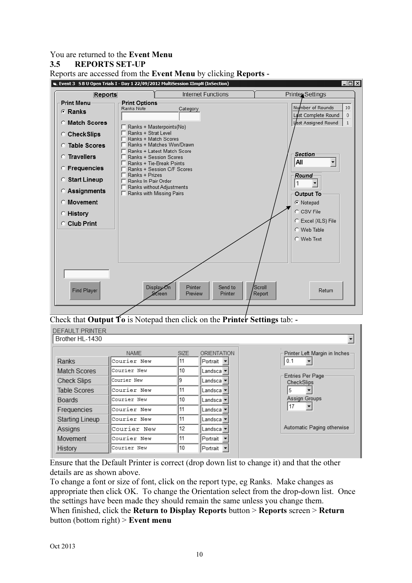You are returned to the Event Menu

#### 3.5 REPORTS SET-UP

Reports are accessed from the Event Menu by clicking Reports -



Check that **Output To** is Notepad then click on the **Printer Settings** tab:  $\text{-}$ 

| <b>DEFAULT PRINTER</b> |             |             |                    |                                |
|------------------------|-------------|-------------|--------------------|--------------------------------|
| Brother HL-1430        |             |             |                    |                                |
|                        | <b>NAME</b> | <b>SIZE</b> | <b>ORIENTATION</b> | Printer Left Margin in Inches- |
| Ranks                  | Courier New | 11          | Portrait -         | 0.1                            |
| Match Scores           | Courier New | 10          | Landsca            |                                |
| Check Slips            | Courier New |             | Landsca            | Entries Per Page<br>CheckSlips |
| Table Scores           | Courier New | 11          | Landsca            | 5                              |
| <b>Boards</b>          | Courier New | 10          | Landsca ·          | Assign Groups                  |
| Frequencies            | Courier New | 11          | Landsca            | 17                             |
| <b>Starting Lineup</b> | Courier New | 11          | Landsca            |                                |
| Assigns                | Courier New | 12          | Landsca v          | Automatic Paging otherwise     |
| Movement               | Courier New | 11          | Portrait           |                                |
| History                | Courier New | 10          | Portrait           |                                |

Ensure that the Default Printer is correct (drop down list to change it) and that the other details are as shown above.

To change a font or size of font, click on the report type, eg Ranks. Make changes as appropriate then click OK. To change the Orientation select from the drop-down list. Once the settings have been made they should remain the same unless you change them. When finished, click the **Return to Display Reports** button > **Reports** screen > **Return** button (bottom right) > Event menu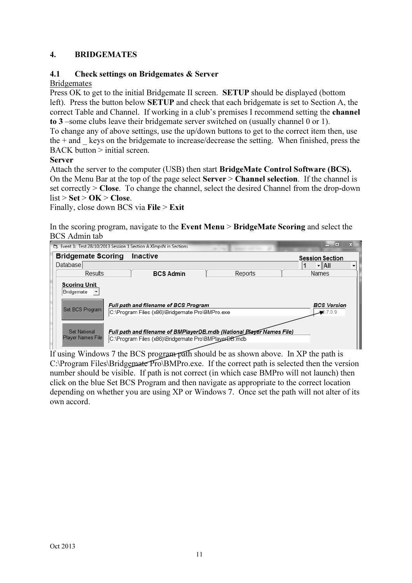### 4. BRIDGEMATES

#### 4.1 Check settings on Bridgemates & Server

#### **Bridgemates**

Press OK to get to the initial Bridgemate II screen. SETUP should be displayed (bottom left). Press the button below SETUP and check that each bridgemate is set to Section A, the correct Table and Channel. If working in a club's premises I recommend setting the channel to 3 –some clubs leave their bridgemate server switched on (usually channel 0 or 1).

To change any of above settings, use the up/down buttons to get to the correct item then, use the  $+$  and keys on the bridgemate to increase/decrease the setting. When finished, press the  $BACK$  button  $>$  initial screen.

#### Server

Attach the server to the computer (USB) then start BridgeMate Control Software (BCS). On the Menu Bar at the top of the page select Server > Channel selection. If the channel is set correctly > Close. To change the channel, select the desired Channel from the drop-down  $list > Set > OK > Close$ .

Finally, close down BCS via File > Exit

In the scoring program, navigate to the Event Menu > BridgeMate Scoring and select the BCS Admin tab

| [3]. Event 1: Test 28/10/2013 Session 1 Section A XImpsN in Sections | $\overline{\phantom{a}}$<br>▭                                   |                                                                                                                               |         |                                  |  |  |  |  |  |  |
|----------------------------------------------------------------------|-----------------------------------------------------------------|-------------------------------------------------------------------------------------------------------------------------------|---------|----------------------------------|--|--|--|--|--|--|
|                                                                      | <b>Bridgemate Scoring</b><br>Inactive<br><b>Session Section</b> |                                                                                                                               |         |                                  |  |  |  |  |  |  |
| Database                                                             |                                                                 |                                                                                                                               |         | $\overline{\mathsf{H}}$ All      |  |  |  |  |  |  |
| Results                                                              |                                                                 | <b>BCS Admin</b>                                                                                                              | Reports | Names                            |  |  |  |  |  |  |
| <b>Scoring Unit</b><br>Bridgemate<br>Set BCS Program                 |                                                                 | Full path and filename of BCS Program<br>C:\Program Files (x86)\Bridgemate Pro\BMPro.exe                                      |         | <b>BCS Version</b><br>$-2.7.0.9$ |  |  |  |  |  |  |
| Set National<br>Player Names File                                    |                                                                 | Full path and filename of BMPlayerDB.mdb (National Player Names File)<br>C:\Program Files (x86)\Bridgemate Pro\BMPlayerDB.mdb |         |                                  |  |  |  |  |  |  |

If using Windows 7 the BCS program path should be as shown above. In XP the path is C:\Program Files\Bridgemate Pro\BMPro.exe. If the correct path is selected then the version number should be visible. If path is not correct (in which case BMPro will not launch) then click on the blue Set BCS Program and then navigate as appropriate to the correct location depending on whether you are using XP or Windows 7. Once set the path will not alter of its own accord.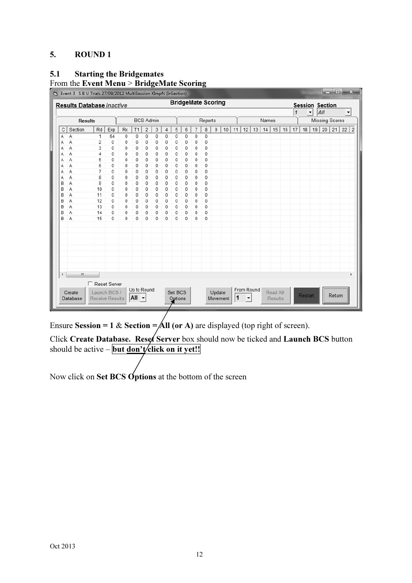### 5. ROUND 1

# 5.1 Starting the Bridgemates

#### From the Event Menu > BridgeMate Scoring

|   | E Event 3 S B U Trials 27/09/2012 MultiSession XImpN (InSection)<br>Results Database Inactive |                 |     |                |                        |                  |   |                  |         |                |   |         | <b>BridgeMate Scoring</b> |    |                            |   |            |       |          |                        |              |         |                          | <b>Session Section</b> |                       |                      |
|---|-----------------------------------------------------------------------------------------------|-----------------|-----|----------------|------------------------|------------------|---|------------------|---------|----------------|---|---------|---------------------------|----|----------------------------|---|------------|-------|----------|------------------------|--------------|---------|--------------------------|------------------------|-----------------------|----------------------|
|   |                                                                                               |                 |     |                |                        |                  |   |                  |         |                |   |         |                           |    |                            |   |            |       |          |                        | $\mathbf{1}$ |         | $\overline{\phantom{a}}$ | All                    |                       | $\blacktriangledown$ |
|   | <b>Results</b>                                                                                |                 |     |                |                        | <b>BCS Admin</b> |   |                  |         |                |   | Reports |                           |    |                            |   |            | Names |          |                        |              |         |                          |                        | <b>Missing Scores</b> |                      |
| С | Section                                                                                       | Rd              | Exp | T <sub>1</sub> | $\overline{c}$         | 3                | 4 | 5                | 6       | $\overline{7}$ | 8 | 9       | 10                        | 11 | 13<br>14<br>15<br>16<br>12 |   |            |       | 17       | $19$   20   21  <br>18 |              |         | $22$   2                 |                        |                       |                      |
| Α | Α                                                                                             | 1               | 64  | 0              | 0                      | 0                | 0 | 0                | 0       | 0              | 0 | 0       |                           |    |                            |   |            |       |          |                        |              |         |                          |                        |                       |                      |
| Α | Α                                                                                             | 2               | 0   | 0              | 0                      | 0                | 0 | 0                | 0       | 0              | 0 | 0       |                           |    |                            |   |            |       |          |                        |              |         |                          |                        |                       |                      |
| Α | Α                                                                                             | 3               | 0   | 0              | 0                      | 0                | 0 | 0                | 0       | 0              | 0 | 0       |                           |    |                            |   |            |       |          |                        |              |         |                          |                        |                       |                      |
| Α | Α                                                                                             | 4               | 0   | 0              | 0                      | 0                | 0 | $\boldsymbol{0}$ | 0       | 0              | 0 | 0       |                           |    |                            |   |            |       |          |                        |              |         |                          |                        |                       |                      |
| Α | Α                                                                                             | 5               | 0   | 0              | 0                      | 0                | 0 | 0                | 0       | 0              | 0 | 0       |                           |    |                            |   |            |       |          |                        |              |         |                          |                        |                       |                      |
| Α | Α                                                                                             | 6               | 0   | 0              | 0                      | 0                | 0 | 0                | 0       | 0              | 0 | 0       |                           |    |                            |   |            |       |          |                        |              |         |                          |                        |                       |                      |
| Α | Α                                                                                             | 7               | 0   | 0              | 0                      | 0                | 0 | 0                | 0       | 0              | 0 | 0       |                           |    |                            |   |            |       |          |                        |              |         |                          |                        |                       |                      |
| Α | Α                                                                                             | 8               | 0   | 0              | 0                      | 0                | 0 | 0                | 0       | 0              | 0 | 0       |                           |    |                            |   |            |       |          |                        |              |         |                          |                        |                       |                      |
| B | A                                                                                             | 9               | 0   | 0              | 0                      | 0                | 0 | 0                | 0       | 0              | 0 | 0       |                           |    |                            |   |            |       |          |                        |              |         |                          |                        |                       |                      |
| в | Α                                                                                             | 10              | 0   | 0              | 0                      | 0                | 0 | 0                | 0       | 0              | 0 | 0       |                           |    |                            |   |            |       |          |                        |              |         |                          |                        |                       |                      |
| B | Α                                                                                             | 11              | 0   | 0              | 0                      | 0                | 0 | 0                | 0       | 0              | 0 | 0       |                           |    |                            |   |            |       |          |                        |              |         |                          |                        |                       |                      |
| в | Α                                                                                             | 12              | 0   | 0              | 0                      | 0                | 0 | 0                | 0       | 0              | 0 | 0       |                           |    |                            |   |            |       |          |                        |              |         |                          |                        |                       |                      |
| В | Α                                                                                             | 13              | 0   | 0              | 0                      | 0                | 0 | 0                | 0       | 0              | 0 | 0       |                           |    |                            |   |            |       |          |                        |              |         |                          |                        |                       |                      |
| в | A                                                                                             | 14              | 0   | 0              | 0                      | 0                | 0 | $\mathbf 0$      | 0       | 0              | 0 | 0       |                           |    |                            |   |            |       |          |                        |              |         |                          |                        |                       |                      |
| B | Α                                                                                             | 15              | 0   | 0              | 0                      | 0                | 0 | $\mathbf 0$      | 0       | 0              | 0 | 0       |                           |    |                            |   |            |       |          |                        |              |         |                          |                        |                       |                      |
|   |                                                                                               |                 |     |                |                        |                  |   |                  |         |                |   |         |                           |    |                            |   |            |       |          |                        |              |         |                          |                        |                       |                      |
|   |                                                                                               |                 |     |                |                        |                  |   |                  |         |                |   |         |                           |    |                            |   |            |       |          |                        |              |         |                          |                        |                       |                      |
|   |                                                                                               |                 |     |                |                        |                  |   |                  |         |                |   |         |                           |    |                            |   |            |       |          |                        |              |         |                          |                        |                       |                      |
|   |                                                                                               |                 |     |                |                        |                  |   |                  |         |                |   |         |                           |    |                            |   |            |       |          |                        |              |         |                          |                        |                       |                      |
|   |                                                                                               |                 |     |                |                        |                  |   |                  |         |                |   |         |                           |    |                            |   |            |       |          |                        |              |         |                          |                        |                       |                      |
|   |                                                                                               |                 |     |                |                        |                  |   |                  |         |                |   |         |                           |    |                            |   |            |       |          |                        |              |         |                          |                        |                       |                      |
|   |                                                                                               |                 |     |                |                        |                  |   |                  |         |                |   |         |                           |    |                            |   |            |       |          |                        |              |         |                          |                        |                       |                      |
|   |                                                                                               |                 |     |                |                        |                  |   |                  |         |                |   |         |                           |    |                            |   |            |       |          |                        |              |         |                          |                        |                       |                      |
| ∢ | M.                                                                                            |                 |     |                |                        |                  |   |                  |         |                |   |         |                           |    |                            |   |            |       |          |                        |              |         |                          |                        |                       |                      |
|   |                                                                                               | Reset Server    |     |                |                        |                  |   |                  |         |                |   |         |                           |    |                            |   |            |       |          |                        |              |         |                          |                        |                       |                      |
|   | Create                                                                                        | Launch BCS /    |     |                | Up to Round            |                  |   |                  | Set BCS |                |   |         | Update                    |    |                            |   | From Round |       | Read All |                        |              |         |                          |                        |                       |                      |
|   | Database                                                                                      | Receive Results |     |                | $\mathsf{All}$ $\star$ |                  |   |                  | Options |                |   |         | Movement                  |    | 1                          | ▼ |            |       | Results  |                        |              | Restart |                          |                        | Return                |                      |
|   |                                                                                               |                 |     |                |                        |                  |   |                  |         |                |   |         |                           |    |                            |   |            |       |          |                        |              |         |                          |                        |                       |                      |

Ensure Session = 1 & Section =  $\overrightarrow{All}$  (or A) are displayed (top right of screen).

Click Create Database. Reset Server box should now be ticked and Launch BCS button should be active – **but <u>don't</u>** click on it yet!!

Now click on Set BCS Options at the bottom of the screen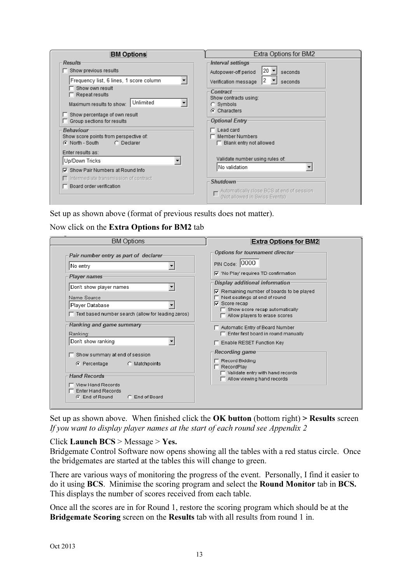| <b>BM Options</b>                                                                                                                                                              | Extra Options for BM2                                                                                    |
|--------------------------------------------------------------------------------------------------------------------------------------------------------------------------------|----------------------------------------------------------------------------------------------------------|
| <b>Results</b>                                                                                                                                                                 | Interval settings                                                                                        |
| $\Box$ Show previous results                                                                                                                                                   | 20<br>Autopower-off period<br>seconds                                                                    |
| Frequency list, 6 lines, 1 score column<br>▼<br>Show own result<br>$\Box$ Repeat results<br>Unlimited<br>▼<br>Maximum results to show:<br>$\Box$ Show percentage of own result | 12<br>Verification message<br>seconds<br>Contract-<br>Show contracts using:<br>C Symbols<br>C Characters |
| □ Group sections for results                                                                                                                                                   | <b>Optional Entry-</b>                                                                                   |
| <b>Behaviour</b><br>Show score points from perspective of:<br>C Declarer<br>⊙ North - South                                                                                    | Lead card<br>Member Numbers<br>$\Box$ Blank entry not allowed                                            |
| Enter results as:                                                                                                                                                              |                                                                                                          |
| $\overline{\phantom{a}}$<br>Up/Down Tricks                                                                                                                                     | Validate number using rules of:                                                                          |
| <b>▽</b> Show Pair Numbers at Round Info                                                                                                                                       | No validation                                                                                            |
| $\Box$ Intermediate transmission of contract<br>Board order verification                                                                                                       | Shutdown<br>Automatically close BCS at end of session<br>(Not allowed in Swiss Events)                   |

Set up as shown above (format of previous results does not matter).

#### Now click on the Extra Options for BM2 tab

| Options for tournament director-<br>Pair number entry as part of declarer-<br>PIN Code: 0000<br>No entry<br>Ⅳ 'No Play' requires TD confirmation<br>Player names-<br>Display additional information<br>Don't show player names<br>$\nabla$ Remaining number of boards to be played<br>$\Box$ Next seatings at end of round<br>Name Source<br>$\nabla$ Score recap<br>Player Database<br>Show score recap automatically<br>$\Box$ Text based number search (allow for leading zeros)<br>$\Box$ Allow players to erase scores<br>Ranking and game summary-<br>Automatic Entry of Board Number<br>$\Box$ Enter first board in round manually<br>Ranking:<br>Don't show ranking<br>F Enable RESET Function Key<br><b>Recording game</b><br>$\Box$ Show summary at end of session<br>$\Box$ Record Bidding<br>$C$ Percentage<br>C Matchpoints<br>$\Gamma$ RecordPlay<br>Validate entry with hand records<br><b>Hand Records-</b><br>Allow viewing hand records<br>$\Box$ View Hand Records | <b>BM Options</b> | <b>Extra Options for BM2</b> |
|---------------------------------------------------------------------------------------------------------------------------------------------------------------------------------------------------------------------------------------------------------------------------------------------------------------------------------------------------------------------------------------------------------------------------------------------------------------------------------------------------------------------------------------------------------------------------------------------------------------------------------------------------------------------------------------------------------------------------------------------------------------------------------------------------------------------------------------------------------------------------------------------------------------------------------------------------------------------------------------|-------------------|------------------------------|
| <b>Enter Hand Records</b><br>C End of Round<br>C End of Board                                                                                                                                                                                                                                                                                                                                                                                                                                                                                                                                                                                                                                                                                                                                                                                                                                                                                                                         |                   |                              |

Set up as shown above. When finished click the  $OK$  button (bottom right) > Results screen If you want to display player names at the start of each round see Appendix 2

#### Click Launch BCS > Message > Yes.

Bridgemate Control Software now opens showing all the tables with a red status circle. Once the bridgemates are started at the tables this will change to green.

There are various ways of monitoring the progress of the event. Personally, I find it easier to do it using BCS. Minimise the scoring program and select the Round Monitor tab in BCS. This displays the number of scores received from each table.

Once all the scores are in for Round 1, restore the scoring program which should be at the Bridgemate Scoring screen on the Results tab with all results from round 1 in.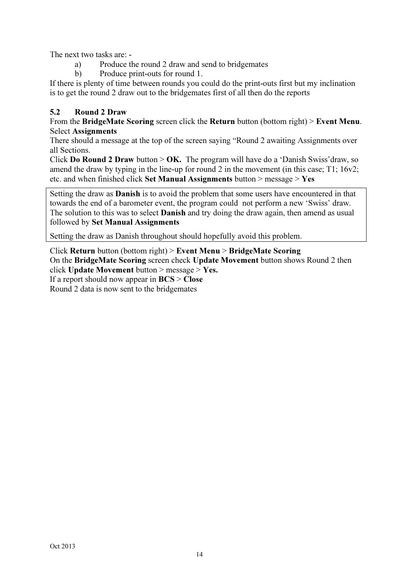The next two tasks are: -

- a) Produce the round 2 draw and send to bridgemates
- b) Produce print-outs for round 1.

If there is plenty of time between rounds you could do the print-outs first but my inclination is to get the round 2 draw out to the bridgemates first of all then do the reports

# 5.2 Round 2 Draw

From the BridgeMate Scoring screen click the Return button (bottom right) > Event Menu. Select Assignments

There should a message at the top of the screen saying "Round 2 awaiting Assignments over all Sections.

Click **Do Round 2 Draw** button  $>$  **OK.** The program will have do a 'Danish Swiss' draw, so amend the draw by typing in the line-up for round 2 in the movement (in this case; T1; 16v2; etc. and when finished click Set Manual Assignments button  $>$  message  $>$  Yes

Setting the draw as Danish is to avoid the problem that some users have encountered in that towards the end of a barometer event, the program could not perform a new 'Swiss' draw. The solution to this was to select **Danish** and try doing the draw again, then amend as usual followed by Set Manual Assignments

Setting the draw as Danish throughout should hopefully avoid this problem.

Click Return button (bottom right) > Event Menu > BridgeMate Scoring On the BridgeMate Scoring screen check Update Movement button shows Round 2 then click Update Movement button  $>$  message  $>$  Yes. If a report should now appear in  $BCS > Close$ Round 2 data is now sent to the bridgemates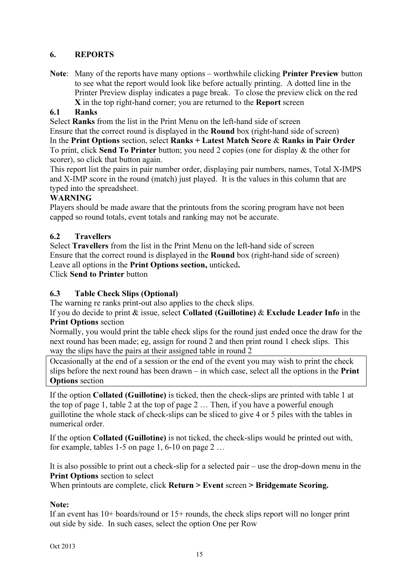# 6. REPORTS

Note: Many of the reports have many options – worthwhile clicking **Printer Preview** button to see what the report would look like before actually printing. A dotted line in the Printer Preview display indicates a page break. To close the preview click on the red X in the top right-hand corner; you are returned to the Report screen

# 6.1 Ranks

Select Ranks from the list in the Print Menu on the left-hand side of screen

Ensure that the correct round is displayed in the Round box (right-hand side of screen) In the Print Options section, select Ranks + Latest Match Score  $\&$  Ranks in Pair Order To print, click Send To Printer button; you need 2 copies (one for display & the other for scorer), so click that button again.

This report list the pairs in pair number order, displaying pair numbers, names, Total X-IMPS and X-IMP score in the round (match) just played. It is the values in this column that are typed into the spreadsheet.

# WARNING

Players should be made aware that the printouts from the scoring program have not been capped so round totals, event totals and ranking may not be accurate.

# 6.2 Travellers

Select Travellers from the list in the Print Menu on the left-hand side of screen Ensure that the correct round is displayed in the Round box (right-hand side of screen) Leave all options in the Print Options section, unticked.

Click Send to Printer button

#### 6.3 Table Check Slips (Optional)

The warning re ranks print-out also applies to the check slips.

If you do decide to print  $\&$  issue, select Collated (Guillotine)  $\&$  Exclude Leader Info in the Print Options section

Normally, you would print the table check slips for the round just ended once the draw for the next round has been made; eg, assign for round 2 and then print round 1 check slips. This way the slips have the pairs at their assigned table in round 2

Occasionally at the end of a session or the end of the event you may wish to print the check slips before the next round has been drawn – in which case, select all the options in the **Print Options** section

If the option Collated (Guillotine) is ticked, then the check-slips are printed with table 1 at the top of page 1, table 2 at the top of page 2 … Then, if you have a powerful enough guillotine the whole stack of check-slips can be sliced to give 4 or 5 piles with the tables in numerical order.

If the option Collated (Guillotine) is not ticked, the check-slips would be printed out with, for example, tables 1-5 on page 1, 6-10 on page  $2 \dots$ 

It is also possible to print out a check-slip for a selected pair – use the drop-down menu in the Print Options section to select

When printouts are complete, click Return > Event screen > Bridgemate Scoring.

#### Note:

If an event has 10+ boards/round or 15+ rounds, the check slips report will no longer print out side by side. In such cases, select the option One per Row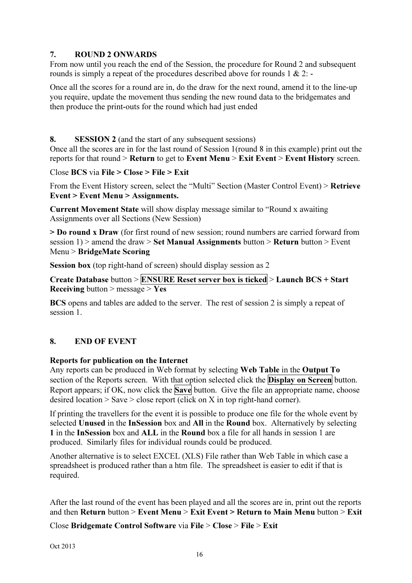#### 7. ROUND 2 ONWARDS

From now until you reach the end of the Session, the procedure for Round 2 and subsequent rounds is simply a repeat of the procedures described above for rounds 1 & 2: -

Once all the scores for a round are in, do the draw for the next round, amend it to the line-up you require, update the movement thus sending the new round data to the bridgemates and then produce the print-outs for the round which had just ended

8. SESSION 2 (and the start of any subsequent sessions)

Once all the scores are in for the last round of Session 1(round 8 in this example) print out the reports for that round  $>$  Return to get to Event Menu  $>$  Exit Event  $>$  Event History screen.

Close BCS via File > Close > File > Exit

From the Event History screen, select the "Multi" Section (Master Control Event) > Retrieve Event > Event Menu > Assignments.

Current Movement State will show display message similar to "Round x awaiting Assignments over all Sections (New Session)

> Do round x Draw (for first round of new session; round numbers are carried forward from session 1) > amend the draw > Set Manual Assignments button > Return button > Event Menu > BridgeMate Scoring

Session box (top right-hand of screen) should display session as 2

Create Database button >  $\overline{\text{ENSURE} }$  Reset server box is ticked > Launch BCS + Start **Receiving** button > message > Yes

BCS opens and tables are added to the server. The rest of session 2 is simply a repeat of session 1.

#### 8. END OF EVENT

#### Reports for publication on the Internet

Any reports can be produced in Web format by selecting Web Table in the Output To section of the Reports screen. With that option selected click the **Display on Screen** button. Report appears; if OK, now click the **Save** button. Give the file an appropriate name, choose desired location  $>$  Save  $>$  close report (click on X in top right-hand corner).

If printing the travellers for the event it is possible to produce one file for the whole event by selected Unused in the InSession box and All in the Round box. Alternatively by selecting 1 in the InSession box and ALL in the Round box a file for all hands in session 1 are produced. Similarly files for individual rounds could be produced.

Another alternative is to select EXCEL (XLS) File rather than Web Table in which case a spreadsheet is produced rather than a htm file. The spreadsheet is easier to edit if that is required.

After the last round of the event has been played and all the scores are in, print out the reports and then Return button  $\geq$  Event Menu  $\geq$  Exit Event  $\geq$  Return to Main Menu button  $\geq$  Exit

Close Bridgemate Control Software via File > Close > File > Exit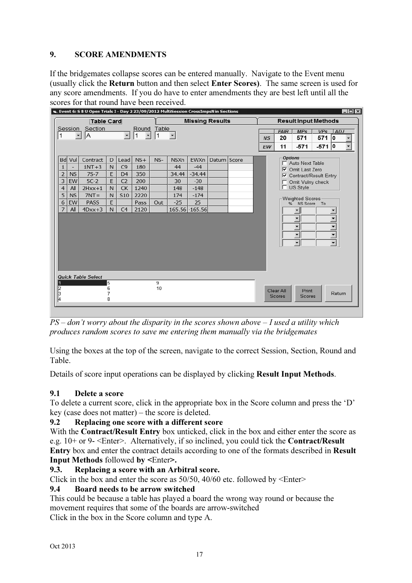# 9. SCORE AMENDMENTS

If the bridgemates collapse scores can be entered manually. Navigate to the Event menu (usually click the Return button and then select Enter Scores). The same screen is used for any score amendments. If you do have to enter amendments they are best left until all the scores for that round have been received.

|                         |                          | E. Event 6: S B U Open Trials I - Day 2 23/09/2012 MultiSession CrossImpsN in Sections |                  |                          |                       |            |             |                 |                        |                 |                     |                                                                                                              |                          |                                                                                              | $\Box$ o $\Box$          |
|-------------------------|--------------------------|----------------------------------------------------------------------------------------|------------------|--------------------------|-----------------------|------------|-------------|-----------------|------------------------|-----------------|---------------------|--------------------------------------------------------------------------------------------------------------|--------------------------|----------------------------------------------------------------------------------------------|--------------------------|
|                         |                          | <b>Table Card</b>                                                                      |                  |                          |                       |            |             |                 | <b>Missing Results</b> |                 |                     | <b>Result Input Methods</b>                                                                                  |                          |                                                                                              |                          |
| 1                       | $\overline{\phantom{0}}$ | Session Section<br>A                                                                   |                  | $\overline{\phantom{0}}$ | Round<br>$\mathbf{1}$ | Table<br>1 |             |                 |                        | <b>NS</b><br>EW | PAIR<br>20<br>11    | MPs<br>571<br>$-571$                                                                                         | VPS<br>571 0<br>$-571 0$ | <b>ADJ</b>                                                                                   | $\overline{\phantom{0}}$ |
| <b>Bd</b>               | Vul                      | Contract                                                                               | D                | Lead                     | $NS+$                 | $NS-$      | <b>NSXn</b> | EWXn            | Datum Score            |                 | <b>Options</b>      |                                                                                                              |                          |                                                                                              |                          |
| $1\,$                   | ÷.                       | $1NT+3$                                                                                | N                | C9                       | 180                   |            | 44          | $-44$           |                        |                 |                     | Auto Next Table<br><b>▽</b> Omit Last Zero                                                                   |                          |                                                                                              |                          |
| $\overline{2}$          | <b>NS</b>                | $7S-7$                                                                                 | E                | D <sub>4</sub>           | 350                   |            | 34.44       | $-34.44$        |                        |                 |                     | <b>Ⅳ</b> Contract/Result Entry                                                                               |                          |                                                                                              |                          |
| $\overline{\mathbf{3}}$ | EW                       | $5C-2$                                                                                 | E                | C <sub>2</sub>           | 200                   |            | 30          | $-30$           |                        |                 |                     | Omit Vulny check                                                                                             |                          |                                                                                              |                          |
| $\overline{4}$          | All                      | $2Hxx+1$                                                                               | N                | CK                       | 1240                  |            | 148         | $-148$          |                        |                 |                     | $\Box$ US Style                                                                                              |                          |                                                                                              |                          |
| $\overline{5}$          | <b>NS</b>                | $7NT =$                                                                                | N                | <b>S10</b>               | 2220                  |            | 174         | $-174$          |                        |                 |                     | Weighted Scores                                                                                              |                          |                                                                                              |                          |
| $\sqrt{6}$              | EW                       | <b>PASS</b>                                                                            | E                |                          | Pass                  | Out        | $-25$       | 25              |                        |                 |                     | % NS Score To                                                                                                |                          |                                                                                              |                          |
| $\overline{7}$          | All                      | $4Dxx+3$                                                                               | N.               | C4                       | 2120                  |            |             | 165.56 - 165.56 |                        |                 |                     | $\blacktriangledown$                                                                                         |                          |                                                                                              |                          |
|                         |                          |                                                                                        |                  |                          |                       |            |             |                 |                        |                 |                     | $\overline{\phantom{a}}$<br>$\overline{\phantom{0}}$<br>$\overline{\phantom{0}}$<br>$\overline{\phantom{a}}$ |                          | $\overline{\phantom{0}}$<br>$\overline{\cdot}$<br>$\overline{ }$<br>$\overline{\phantom{0}}$ |                          |
|                         |                          | <b>Quick Table Select</b>                                                              |                  |                          |                       |            |             |                 |                        |                 |                     |                                                                                                              |                          |                                                                                              |                          |
| $\sqrt{2}$<br> 4        |                          |                                                                                        | 5<br>6<br>7<br>8 |                          |                       | 9<br>10    |             |                 |                        |                 | Clear All<br>Scores | Print<br>Scores                                                                                              |                          | Return                                                                                       |                          |

 $PS$  – don't worry about the disparity in the scores shown above – I used a utility which produces random scores to save me entering them manually via the bridgemates

Using the boxes at the top of the screen, navigate to the correct Session, Section, Round and Table.

Details of score input operations can be displayed by clicking Result Input Methods.

# 9.1 Delete a score

To delete a current score, click in the appropriate box in the Score column and press the 'D' key (case does not matter) – the score is deleted.

#### 9.2 Replacing one score with a different score

With the **Contract/Result Entry** box unticked, click in the box and either enter the score as e.g. 10+ or 9- <Enter>. Alternatively, if so inclined, you could tick the Contract/Result Entry box and enter the contract details according to one of the formats described in Result Input Methods followed by <Enter>.

#### 9.3. Replacing a score with an Arbitral score.

Click in the box and enter the score as 50/50, 40/60 etc. followed by <Enter>

#### 9.4 Board needs to be arrow switched

This could be because a table has played a board the wrong way round or because the movement requires that some of the boards are arrow-switched Click in the box in the Score column and type A.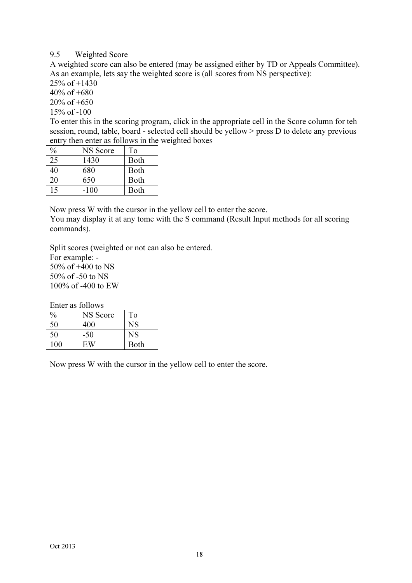#### 9.5 Weighted Score

A weighted score can also be entered (may be assigned either by TD or Appeals Committee). As an example, lets say the weighted score is (all scores from NS perspective):

25% of +1430  $40\% \text{ of } +680$ 20% of +650

15% of -100

To enter this in the scoring program, click in the appropriate cell in the Score column for teh session, round, table, board - selected cell should be yellow > press D to delete any previous entry then enter as follows in the weighted boxes

| %  | NS Score | To          |
|----|----------|-------------|
| 25 | 1430     | <b>Both</b> |
| 40 | 680      | <b>Both</b> |
| 20 | 650      | <b>Both</b> |
| 15 | -100     | Both        |

Now press W with the cursor in the yellow cell to enter the score.

You may display it at any tome with the S command (Result Input methods for all scoring commands).

Split scores (weighted or not can also be entered.

For example: - 50% of +400 to NS 50% of -50 to NS 100% of -400 to EW

Enter as follows

| $\frac{0}{0}$ | NS Score | To          |
|---------------|----------|-------------|
| 50            | 400      | $_{\rm NS}$ |
| 50            | -50      | NS          |
| 100           | EW       | Both        |

Now press W with the cursor in the yellow cell to enter the score.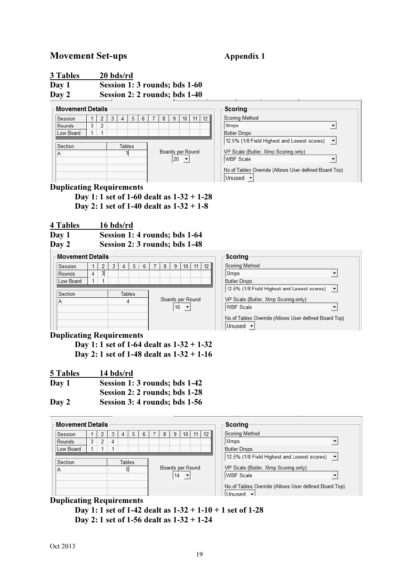# Movement Set-ups **Appendix 1**

| 3 Tables | 20 bds/rd                     |
|----------|-------------------------------|
| Day 1    | Session 1: 3 rounds; bds 1-60 |
| Day 2    | Session 2: 2 rounds; bds 1-40 |

| ⊢Movement Details |                |   |   |        |   |            |   |    |                  |    |
|-------------------|----------------|---|---|--------|---|------------|---|----|------------------|----|
|                   |                |   |   |        |   |            |   |    |                  |    |
| Session           |                | 2 | 3 |        | 5 | 6          | 8 | 9  | 10               | 12 |
| Rounds            | 3              | 2 |   |        |   |            |   |    |                  |    |
| Low Board         |                |   |   |        |   |            |   |    |                  |    |
|                   |                |   |   |        |   |            |   |    |                  |    |
| Section           |                |   |   | Tables |   |            |   |    |                  |    |
| Α                 |                |   |   |        |   |            |   |    | Boards per Round |    |
|                   |                |   |   |        |   |            |   | 20 |                  |    |
|                   |                |   |   |        |   |            |   |    |                  |    |
|                   |                |   |   |        |   |            |   |    |                  |    |
|                   |                |   |   |        |   |            |   |    |                  |    |
| <br>r<br>$\cdot$  | $\blacksquare$ |   | ٠ |        |   | $\epsilon$ |   |    |                  |    |



#### Duplicating Requirements

 Day 1: 1 set of 1-60 dealt as 1-32 + 1-28 Day 2: 1 set of 1-40 dealt as 1-32 + 1-8

4 Tables 16 bds/rd

| Session 1: 4 rounds; bds 1-64 |
|-------------------------------|
|                               |

Day 2 Session 2: 3 rounds; bds 1-48

# - Movement Details

| Session   |   | 2 | 3 |        | 5 | 6 |  | 8 | 9  | 10               | 11 | 12 |  |
|-----------|---|---|---|--------|---|---|--|---|----|------------------|----|----|--|
| Rounds    | 4 | 3 |   |        |   |   |  |   |    |                  |    |    |  |
| Low Board |   |   |   |        |   |   |  |   |    |                  |    |    |  |
|           |   |   |   |        |   |   |  |   |    |                  |    |    |  |
| Section   |   |   |   | Tables |   |   |  |   |    |                  |    |    |  |
| А         |   |   |   |        |   |   |  |   |    | Boards per Round |    |    |  |
|           |   |   |   |        |   |   |  |   | 16 |                  |    |    |  |
|           |   |   |   |        |   |   |  |   |    |                  |    |    |  |
|           |   |   |   |        |   |   |  |   |    |                  |    |    |  |
|           |   |   |   |        |   |   |  |   |    |                  |    |    |  |

#### Duplicating Requirements

 Day 1: 1 set of 1-64 dealt as 1-32 + 1-32 Day 2: 1 set of 1-48 dealt as 1-32 + 1-16

| 5 Tables | 14 bds/rd                     |
|----------|-------------------------------|
| Day 1    | Session 1: 3 rounds; bds 1-42 |
|          | Session 2: 2 rounds; bds 1-28 |
| Day 2    | Session 3: 4 rounds; bds 1-56 |

| <b>Movement Details</b> |   |   |   |        |   |   |                  |    |    |    |                 | Scoring                                                                                                                                                                                                         |
|-------------------------|---|---|---|--------|---|---|------------------|----|----|----|-----------------|-----------------------------------------------------------------------------------------------------------------------------------------------------------------------------------------------------------------|
| Session                 |   | 2 |   | 4      | 5 | 6 | 8                | 9  | 10 | 11 | 12 <sub>1</sub> | Scoring Method                                                                                                                                                                                                  |
| Rounds                  | 3 | 2 | 4 |        |   |   |                  |    |    |    |                 | XImps<br>▼                                                                                                                                                                                                      |
| Low Board               |   |   |   |        |   |   |                  |    |    |    |                 | <b>Butler Drops</b>                                                                                                                                                                                             |
| Section<br>Α            |   |   |   | Tables |   |   | Boards per Round | 14 |    |    |                 | $\overline{\phantom{a}}$<br>12.5% (1/8 Field Highest and Lowest scores)<br>VP Scale (Butler, XImp Scoring only)<br><b>WBF</b> Scale<br>No.of Tables Override (Allows User defined Board Top)<br>Unused <b>v</b> |

#### Duplicating Requirements

 Day 1: 1 set of 1-42 dealt as 1-32 + 1-10 + 1 set of 1-28 Day 2: 1 set of 1-56 dealt as 1-32 + 1-24

| Scoring                                     |  |
|---------------------------------------------|--|
| Scoring Method                              |  |
| XImps                                       |  |
| <b>Butler Drops</b>                         |  |
| 12.5% (1/8 Field Highest and Lowest scores) |  |
| VP Scale (Butler, Ximp Scoring only)        |  |
| <b>WBF Scale</b>                            |  |

No.of Tables Override (Allows User defined Board Top) Unused -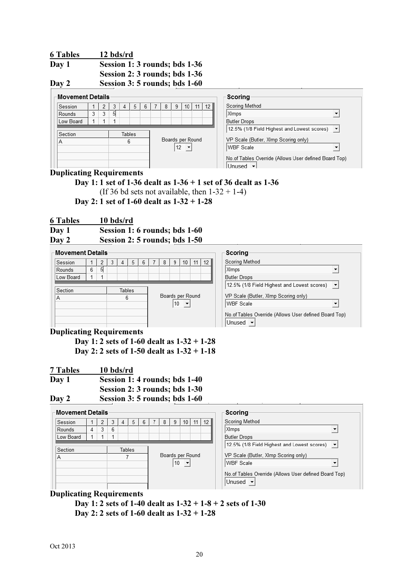| <b>6 Tables</b>                 | 12 bds/rd                                                        |
|---------------------------------|------------------------------------------------------------------|
| Day 1                           | Session 1: 3 rounds; bds 1-36                                    |
|                                 | Session 2: 3 rounds; bds 1-36                                    |
| $\mathbf{D}$ $\mathbf{\Lambda}$ | $S_{\text{ex}}$ is $\alpha$ , $\beta$ is a set in its leads 1.60 |

Day 2 Session 3: 5 rounds; bds 1-60

#### - Movement Details

| Session   |        | 2 | 3 | 4 | 5 | 6                |  | 8 | 9  | 10 | 11 | 12 |
|-----------|--------|---|---|---|---|------------------|--|---|----|----|----|----|
| Rounds    | 3      | 3 | 5 |   |   |                  |  |   |    |    |    |    |
| Low Board |        |   |   |   |   |                  |  |   |    |    |    |    |
|           |        |   |   |   |   |                  |  |   |    |    |    |    |
| Section   | Tables |   |   |   |   |                  |  |   |    |    |    |    |
| Α         |        |   | 6 |   |   | Boards per Round |  |   |    |    |    |    |
|           |        |   |   |   |   |                  |  |   |    |    |    |    |
|           |        |   |   |   |   |                  |  |   | 12 |    |    |    |
|           |        |   |   |   |   |                  |  |   |    |    |    |    |
|           |        |   |   |   |   |                  |  |   |    |    |    |    |

| Scoring                                                          |  |
|------------------------------------------------------------------|--|
| Scoring Method                                                   |  |
| XImps                                                            |  |
| <b>Butler Drops</b>                                              |  |
| 12.5% (1/8 Field Highest and Lowest scores)                      |  |
| VP Scale (Butler, XImp Scoring only)                             |  |
| <b>WBF Scale</b>                                                 |  |
| No.of Tables Override (Allows User defined Board Top)<br>Lloucod |  |

# Duplicating Requirements

# Day 1: 1 set of 1-36 dealt as 1-36 + 1 set of 36 dealt as 1-36

(If 36 bd sets not available, then  $1-32 + 1-4$ ) Day 2: 1 set of 1-60 dealt as 1-32 + 1-28

|  |  | <b>6 Tables</b> | 10 bds/rd |  |
|--|--|-----------------|-----------|--|
|--|--|-----------------|-----------|--|

| Day 1 |  | Session 1: 6 rounds; bds 1-60 |
|-------|--|-------------------------------|

| Day 2 |  | Session 2: 5 rounds; bds 1-50 |  |
|-------|--|-------------------------------|--|
|       |  |                               |  |

#### Movement Details

| Session   |   | 2      | 3 |  | 5                | 6 |  | 8  | 9 | 10 |  | 12 |
|-----------|---|--------|---|--|------------------|---|--|----|---|----|--|----|
| Rounds    | 6 | 5      |   |  |                  |   |  |    |   |    |  |    |
| Low Board |   |        |   |  |                  |   |  |    |   |    |  |    |
|           |   |        |   |  |                  |   |  |    |   |    |  |    |
| Section   |   | Tables |   |  |                  |   |  |    |   |    |  |    |
| A         |   | 6      |   |  | Boards per Round |   |  |    |   |    |  |    |
|           |   |        |   |  |                  |   |  | 10 |   |    |  |    |
|           |   |        |   |  |                  |   |  |    |   |    |  |    |
|           |   |        |   |  |                  |   |  |    |   |    |  |    |
|           |   |        |   |  |                  |   |  |    |   |    |  |    |

| Scoring                                                         |                          |
|-----------------------------------------------------------------|--------------------------|
| Scoring Method                                                  |                          |
| XImps                                                           |                          |
| <b>Butler Drops</b>                                             |                          |
| 12.5% (1/8 Field Highest and Lowest scores)                     | $\overline{\phantom{a}}$ |
| VP Scale (Butler, XImp Scoring only)<br><b>WBF Scale</b>        |                          |
| No.of Tables Override (Allows User defined Board Top)<br>Unused |                          |

# Duplicating Requirements

 Day 1: 2 sets of 1-60 dealt as 1-32 + 1-28 Day 2: 2 sets of 1-50 dealt as 1-32 + 1-18

| 7 Tables | 10 bds/rd                     |
|----------|-------------------------------|
| Day 1    | Session 1: 4 rounds; bds 1-40 |
|          | Session 2: 3 rounds; bds 1-30 |
| Day 2    | Session 3: 5 rounds; bds 1-60 |

| Movement Details |                |   |                                       |   |        |   |   |    |                  |    |    | Scoring                                                          |
|------------------|----------------|---|---------------------------------------|---|--------|---|---|----|------------------|----|----|------------------------------------------------------------------|
| Session          |                |   |                                       | 4 | 5      | 6 | 8 | 9. | 10               | 11 | 12 | Scoring Method                                                   |
| Rounds           | $\overline{4}$ | 3 | 6                                     |   |        |   |   |    |                  |    |    | XImps<br>$\overline{\phantom{a}}$                                |
| Low Board        |                |   |                                       |   |        |   |   |    |                  |    |    | <b>Butler Drops</b>                                              |
|                  |                |   |                                       |   |        |   |   |    |                  |    |    | 12.5% (1/8 Field Highest and Lowest scores) $\blacktriangledown$ |
| Section          |                |   |                                       |   | Tables |   |   |    |                  |    |    |                                                                  |
| A                |                |   |                                       |   |        |   |   |    | Boards per Round |    |    | VP Scale (Butler, XImp Scoring only)                             |
|                  | 10             |   | WBF Scale<br>$\overline{\phantom{a}}$ |   |        |   |   |    |                  |    |    |                                                                  |
|                  |                |   |                                       |   |        |   |   |    |                  |    |    | No.of Tables Override (Allows User defined Board Top)            |
|                  |                |   |                                       |   |        |   |   |    |                  |    |    | Unused                                                           |

# Duplicating Requirements

Day 1: 2 sets of 1-40 dealt as  $1-32 + 1-8 + 2$  sets of 1-30 Day 2: 2 sets of 1-60 dealt as 1-32 + 1-28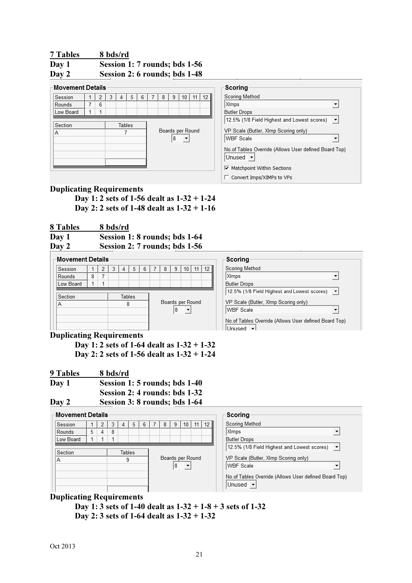#### 7 Tables 8 bds/rd Day 1 Session 1: 7 rounds; bds 1-56 Day 2 Session 2: 6 rounds; bds 1-48

| <b>Movement Details</b> |   |   |        |   |   |   |   |                  |    |
|-------------------------|---|---|--------|---|---|---|---|------------------|----|
| Session                 | 2 | 3 |        | 5 | 6 | 8 | 9 | 10               | 12 |
| Rounds                  | 6 |   |        |   |   |   |   |                  |    |
| Low Board               |   |   |        |   |   |   |   |                  |    |
| Section<br>Α            |   |   | Tables |   |   |   | 8 | Boards per Round |    |

## Duplicating Requirements

Day 1: 2 sets of 1-56 dealt as 1-32 + 1-24 Day 2: 2 sets of 1-48 dealt as 1-32 + 1-16

8 Tables 8 bds/rd

| Day 1 |  | Session 1: 8 rounds; bds 1-64 |
|-------|--|-------------------------------|
| Day 2 |  | Session 2: 7 rounds; bds 1-56 |

| лау 4             |   |   |   |        |   |   |   |   | $\beta$ cssion 2. / Tounus, bus 1-90 |    |
|-------------------|---|---|---|--------|---|---|---|---|--------------------------------------|----|
| ⊢Movement Details |   |   |   |        |   |   |   |   |                                      |    |
| Session           |   | 2 | 3 |        | 5 | 6 | 8 | 9 | 10                                   | 12 |
| Rounds            | 8 |   |   |        |   |   |   |   |                                      |    |
| Low Board         |   |   |   |        |   |   |   |   |                                      |    |
|                   |   |   |   |        |   |   |   |   |                                      |    |
| Section           |   |   |   | Tables |   |   |   |   |                                      |    |
|                   |   |   |   |        |   |   |   |   | Boards per Round                     |    |
|                   |   |   |   |        |   |   |   | 8 |                                      |    |

#### Duplicating Requirements

Day 1: 2 sets of 1-64 dealt as 1-32 + 1-32 Day 2: 2 sets of 1-56 dealt as 1-32 + 1-24

| <b>9 Tables</b> | 8 bds/rd                      |
|-----------------|-------------------------------|
| Day 1           | Session 1: 5 rounds; bds 1-40 |
|                 | Session 2: 4 rounds: bds 1-32 |
| Day 2           | Session 3: 8 rounds; bds 1-64 |

- Movement Details

| Movement Details |                                                 |   |   |  |        |  |  |                  |    |  |  | Scoring |                                                                   |  |  |  |
|------------------|-------------------------------------------------|---|---|--|--------|--|--|------------------|----|--|--|---------|-------------------------------------------------------------------|--|--|--|
|                  |                                                 |   |   |  |        |  |  |                  |    |  |  |         |                                                                   |  |  |  |
| Session          | Scoring Method<br>12<br>6<br>10<br>11<br>5<br>4 |   |   |  |        |  |  |                  |    |  |  |         |                                                                   |  |  |  |
| Rounds           | 5                                               | 4 | 8 |  |        |  |  |                  |    |  |  |         | XImps                                                             |  |  |  |
| Low Board        |                                                 |   |   |  |        |  |  |                  |    |  |  |         | <b>Butler Drops</b>                                               |  |  |  |
|                  |                                                 |   |   |  |        |  |  |                  |    |  |  |         | 12.5% (1/8 Field Highest and Lowest scores)<br>$\ \bullet\ $      |  |  |  |
| Section          |                                                 |   |   |  | Tables |  |  |                  |    |  |  |         |                                                                   |  |  |  |
| Α                |                                                 |   |   |  | 9      |  |  | Boards per Round |    |  |  |         | VP Scale (Butler, XImp Scoring only)                              |  |  |  |
|                  |                                                 |   |   |  |        |  |  |                  | 18 |  |  |         | WBF Scale                                                         |  |  |  |
|                  |                                                 |   |   |  |        |  |  |                  |    |  |  |         | No.of Tables Override (Allows User defined Board Top)<br>Unused - |  |  |  |

#### Duplicating Requirements

Day 1: 3 sets of 1-40 dealt as  $1-32 + 1-8 + 3$  sets of 1-32 Day 2: 3 sets of 1-64 dealt as 1-32 + 1-32

#### Scoring-Scoring Method XImps ⊣ **Butler Drops** 12.5% (1/8 Field Highest and Lowest scores)  $\overline{\mathbf{r}}$ VP Scale (Butler, XImp Scoring only) WBF Scale  $\mathbf{r}$ No.of Tables Override (Allows User defined Board Top)  $Unused$   $\rightarrow$  $\overline{\mathbf{v}}$  Matchpoint Within Sections  $\Box$  Convert Imps/XIMPs to VPs

| Scoring                                                           |  |
|-------------------------------------------------------------------|--|
| Scoring Method                                                    |  |
| XImps                                                             |  |
| <b>Butler Drops</b>                                               |  |
| 12.5% (1/8 Field Highest and Lowest scores)                       |  |
| VP Scale (Butler, XImp Scoring only)                              |  |
| WBF Scale                                                         |  |
| No.of Tables Override (Allows User defined Board Top)<br>hezunt I |  |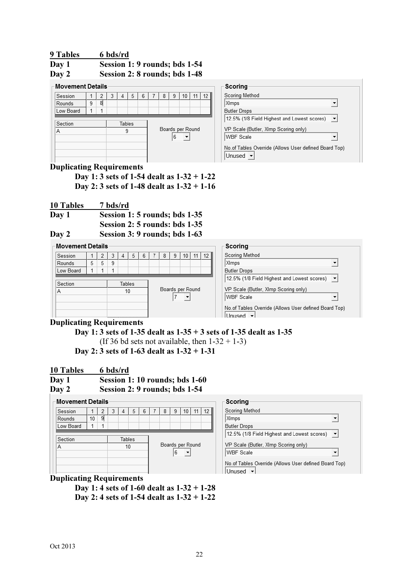| 9 Tables | 6 bds/rd                      |
|----------|-------------------------------|
| Day 1    | Session 1: 9 rounds; bds 1-54 |
| Day 2    | Session 2: 8 rounds; bds 1-48 |

**Contract** 

| <b>Movement Details</b> |   |   |   |        |  |   |   |                  |    |                 | Scoring                                                                 |  |
|-------------------------|---|---|---|--------|--|---|---|------------------|----|-----------------|-------------------------------------------------------------------------|--|
| Session                 |   |   | 4 | 5      |  | 8 |   | 10               | 11 | 12 <sub>1</sub> | Scoring Method                                                          |  |
| Rounds                  | 9 | 8 |   |        |  |   |   |                  |    |                 | XImps                                                                   |  |
| Low Board               |   |   |   |        |  |   |   |                  |    |                 | <b>Butler Drops</b>                                                     |  |
|                         |   |   |   |        |  |   |   |                  |    |                 | $\overline{\phantom{a}}$<br>12.5% (1/8 Field Highest and Lowest scores) |  |
| Section                 |   |   |   | Tables |  |   |   |                  |    |                 |                                                                         |  |
| Α                       |   |   |   |        |  |   |   | Boards per Round |    |                 | VP Scale (Butler, Ximp Scoring only)                                    |  |
|                         |   |   |   |        |  |   | 6 |                  |    |                 | <b>WBF Scale</b>                                                        |  |
|                         |   |   |   |        |  |   |   |                  |    |                 | No.of Tables Override (Allows User defined Board Top)<br>Unused         |  |
|                         |   |   |   |        |  |   |   |                  |    |                 |                                                                         |  |

# Duplicating Requirements

 Day 1: 3 sets of 1-54 dealt as 1-32 + 1-22 Day 2: 3 sets of 1-48 dealt as 1-32 + 1-16

10 Tables 7 bds/rd

Day 1 Session 1: 5 rounds; bds 1-35 Session 2: 5 rounds: bds 1-35 Day 2 Session 3: 9 rounds; bds 1-63

Movement Detaile

| Movement Details                                      |                      |   |   |    |        |                                              |                  |   |   |    |  | Scoring |  |                                      |  |  |  |
|-------------------------------------------------------|----------------------|---|---|----|--------|----------------------------------------------|------------------|---|---|----|--|---------|--|--------------------------------------|--|--|--|
| Session                                               |                      |   |   | 4  | 5      | 6                                            |                  | 8 | 9 | 10 |  | 12      |  | Scoring Method                       |  |  |  |
| Rounds                                                | 5                    | 5 | 9 |    |        |                                              |                  |   |   |    |  |         |  | XImps<br>$\overline{\phantom{a}}$    |  |  |  |
| Low Board                                             |                      |   |   |    |        |                                              |                  |   |   |    |  |         |  | <b>Butler Drops</b>                  |  |  |  |
| 12.5% (1/8 Field Highest and Lowest scores) ▼         |                      |   |   |    |        |                                              |                  |   |   |    |  |         |  |                                      |  |  |  |
| Section                                               |                      |   |   |    | Tables |                                              |                  |   |   |    |  |         |  |                                      |  |  |  |
| Α                                                     |                      |   |   | 10 |        |                                              | Boards per Round |   |   |    |  |         |  | VP Scale (Butler, XImp Scoring only) |  |  |  |
|                                                       | $\blacktriangledown$ |   |   |    |        | <b>WBF</b> Scale<br>$\overline{\phantom{a}}$ |                  |   |   |    |  |         |  |                                      |  |  |  |
| No.of Tables Override (Allows User defined Board Top) |                      |   |   |    |        |                                              |                  |   |   |    |  |         |  |                                      |  |  |  |
|                                                       |                      |   |   |    |        |                                              |                  |   |   |    |  |         |  | Unused                               |  |  |  |

#### Duplicating Requirements

Day 1: 3 sets of 1-35 dealt as  $1-35 + 3$  sets of 1-35 dealt as  $1-35$ 

(If 36 bd sets not available, then  $1-32 + 1-3$ )

Day 2: 3 sets of 1-63 dealt as 1-32 + 1-31

| 10 Tables | 6 bds/rd                       |
|-----------|--------------------------------|
| Day 1     | Session 1: 10 rounds; bds 1-60 |
| Day 2     | Session 2: 9 rounds; bds 1-54  |

#### - Movement Details

| Session   |    | 2 | 3 |        | 5 | 6 |                  | 8 | 9 | 10 |  | 12 |
|-----------|----|---|---|--------|---|---|------------------|---|---|----|--|----|
| Rounds    | 10 | 9 |   |        |   |   |                  |   |   |    |  |    |
| Low Board |    |   |   |        |   |   |                  |   |   |    |  |    |
|           |    |   |   |        |   |   |                  |   |   |    |  |    |
| Section   |    |   |   | Tables |   |   |                  |   |   |    |  |    |
| Α         |    |   |   | 10     |   |   | Boards per Round |   |   |    |  |    |
|           |    |   |   |        |   |   |                  |   | 6 |    |  |    |
|           |    |   |   |        |   |   |                  |   |   |    |  |    |
|           |    |   |   |        |   |   |                  |   |   |    |  |    |
|           |    |   |   |        |   |   |                  |   |   |    |  |    |

| Scoring                                                          |  |
|------------------------------------------------------------------|--|
| Scoring Method                                                   |  |
| XImps                                                            |  |
| <b>Butler Drops</b>                                              |  |
| 12.5% (1/8 Field Highest and Lowest scores)                      |  |
| VP Scale (Butler, XImp Scoring only)                             |  |
| <b>WBF Scale</b>                                                 |  |
| No. of Tables Override (Allows User defined Board Top)<br>Unused |  |
|                                                                  |  |

#### Duplicating Requirements

 Day 1: 4 sets of 1-60 dealt as 1-32 + 1-28 Day 2: 4 sets of 1-54 dealt as 1-32 + 1-22